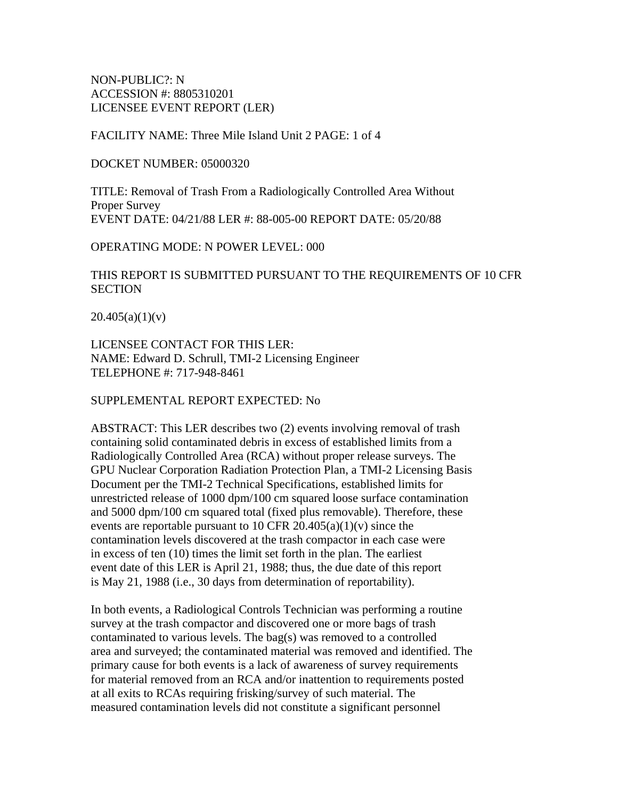NON-PUBLIC?: N ACCESSION #: 8805310201 LICENSEE EVENT REPORT (LER)

FACILITY NAME: Three Mile Island Unit 2 PAGE: 1 of 4

DOCKET NUMBER: 05000320

TITLE: Removal of Trash From a Radiologically Controlled Area Without Proper Survey EVENT DATE: 04/21/88 LER #: 88-005-00 REPORT DATE: 05/20/88

OPERATING MODE: N POWER LEVEL: 000

## THIS REPORT IS SUBMITTED PURSUANT TO THE REQUIREMENTS OF 10 CFR **SECTION**

 $20.405(a)(1)(v)$ 

LICENSEE CONTACT FOR THIS LER: NAME: Edward D. Schrull, TMI-2 Licensing Engineer TELEPHONE #: 717-948-8461

SUPPLEMENTAL REPORT EXPECTED: No

ABSTRACT: This LER describes two (2) events involving removal of trash containing solid contaminated debris in excess of established limits from a Radiologically Controlled Area (RCA) without proper release surveys. The GPU Nuclear Corporation Radiation Protection Plan, a TMI-2 Licensing Basis Document per the TMI-2 Technical Specifications, established limits for unrestricted release of 1000 dpm/100 cm squared loose surface contamination and 5000 dpm/100 cm squared total (fixed plus removable). Therefore, these events are reportable pursuant to 10 CFR 20.405(a)(1)(v) since the contamination levels discovered at the trash compactor in each case were in excess of ten (10) times the limit set forth in the plan. The earliest event date of this LER is April 21, 1988; thus, the due date of this report is May 21, 1988 (i.e., 30 days from determination of reportability).

In both events, a Radiological Controls Technician was performing a routine survey at the trash compactor and discovered one or more bags of trash contaminated to various levels. The bag(s) was removed to a controlled area and surveyed; the contaminated material was removed and identified. The primary cause for both events is a lack of awareness of survey requirements for material removed from an RCA and/or inattention to requirements posted at all exits to RCAs requiring frisking/survey of such material. The measured contamination levels did not constitute a significant personnel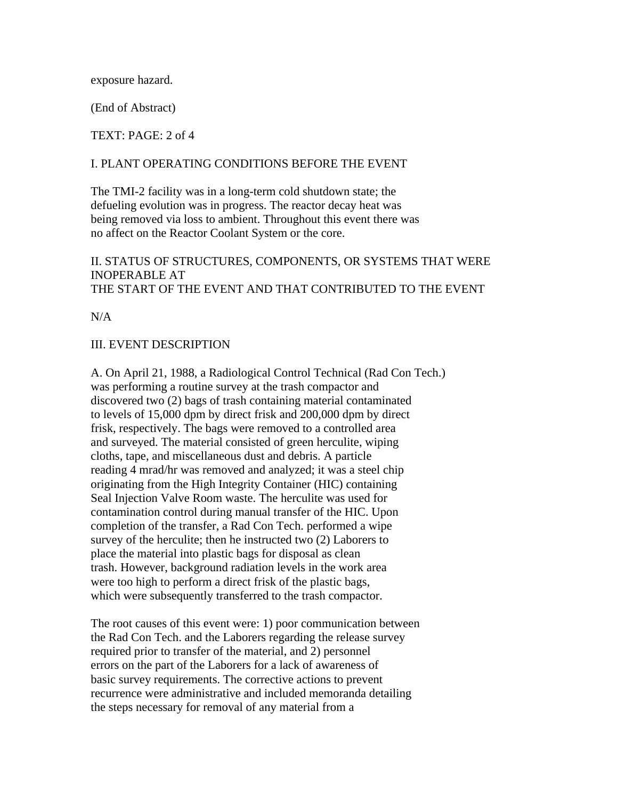exposure hazard.

(End of Abstract)

TEXT: PAGE: 2 of 4

#### I. PLANT OPERATING CONDITIONS BEFORE THE EVENT

The TMI-2 facility was in a long-term cold shutdown state; the defueling evolution was in progress. The reactor decay heat was being removed via loss to ambient. Throughout this event there was no affect on the Reactor Coolant System or the core.

# II. STATUS OF STRUCTURES, COMPONENTS, OR SYSTEMS THAT WERE INOPERABLE AT THE START OF THE EVENT AND THAT CONTRIBUTED TO THE EVENT

 $N/A$ 

### III. EVENT DESCRIPTION

A. On April 21, 1988, a Radiological Control Technical (Rad Con Tech.) was performing a routine survey at the trash compactor and discovered two (2) bags of trash containing material contaminated to levels of 15,000 dpm by direct frisk and 200,000 dpm by direct frisk, respectively. The bags were removed to a controlled area and surveyed. The material consisted of green herculite, wiping cloths, tape, and miscellaneous dust and debris. A particle reading 4 mrad/hr was removed and analyzed; it was a steel chip originating from the High Integrity Container (HIC) containing Seal Injection Valve Room waste. The herculite was used for contamination control during manual transfer of the HIC. Upon completion of the transfer, a Rad Con Tech. performed a wipe survey of the herculite; then he instructed two (2) Laborers to place the material into plastic bags for disposal as clean trash. However, background radiation levels in the work area were too high to perform a direct frisk of the plastic bags, which were subsequently transferred to the trash compactor.

The root causes of this event were: 1) poor communication between the Rad Con Tech. and the Laborers regarding the release survey required prior to transfer of the material, and 2) personnel errors on the part of the Laborers for a lack of awareness of basic survey requirements. The corrective actions to prevent recurrence were administrative and included memoranda detailing the steps necessary for removal of any material from a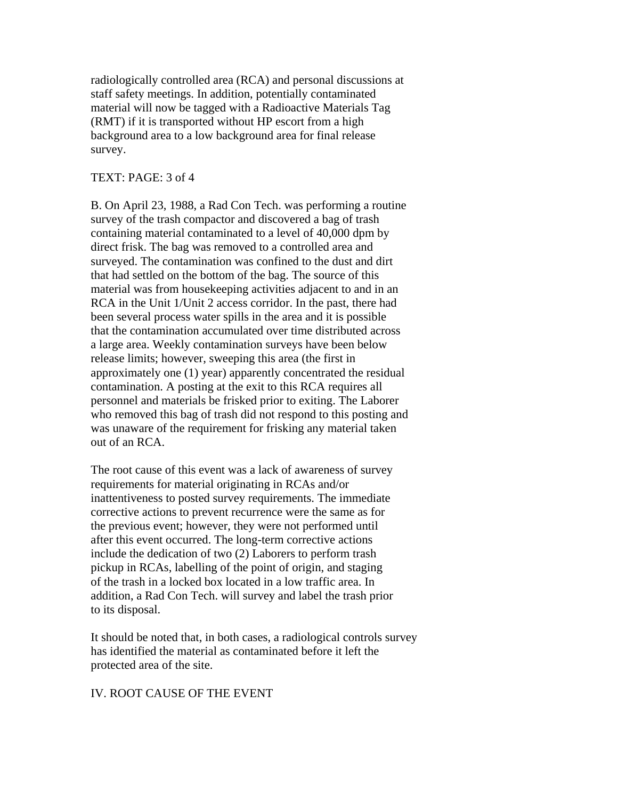radiologically controlled area (RCA) and personal discussions at staff safety meetings. In addition, potentially contaminated material will now be tagged with a Radioactive Materials Tag (RMT) if it is transported without HP escort from a high background area to a low background area for final release survey.

### TEXT: PAGE: 3 of 4

B. On April 23, 1988, a Rad Con Tech. was performing a routine survey of the trash compactor and discovered a bag of trash containing material contaminated to a level of 40,000 dpm by direct frisk. The bag was removed to a controlled area and surveyed. The contamination was confined to the dust and dirt that had settled on the bottom of the bag. The source of this material was from housekeeping activities adjacent to and in an RCA in the Unit 1/Unit 2 access corridor. In the past, there had been several process water spills in the area and it is possible that the contamination accumulated over time distributed across a large area. Weekly contamination surveys have been below release limits; however, sweeping this area (the first in approximately one (1) year) apparently concentrated the residual contamination. A posting at the exit to this RCA requires all personnel and materials be frisked prior to exiting. The Laborer who removed this bag of trash did not respond to this posting and was unaware of the requirement for frisking any material taken out of an RCA.

The root cause of this event was a lack of awareness of survey requirements for material originating in RCAs and/or inattentiveness to posted survey requirements. The immediate corrective actions to prevent recurrence were the same as for the previous event; however, they were not performed until after this event occurred. The long-term corrective actions include the dedication of two (2) Laborers to perform trash pickup in RCAs, labelling of the point of origin, and staging of the trash in a locked box located in a low traffic area. In addition, a Rad Con Tech. will survey and label the trash prior to its disposal.

It should be noted that, in both cases, a radiological controls survey has identified the material as contaminated before it left the protected area of the site.

# IV. ROOT CAUSE OF THE EVENT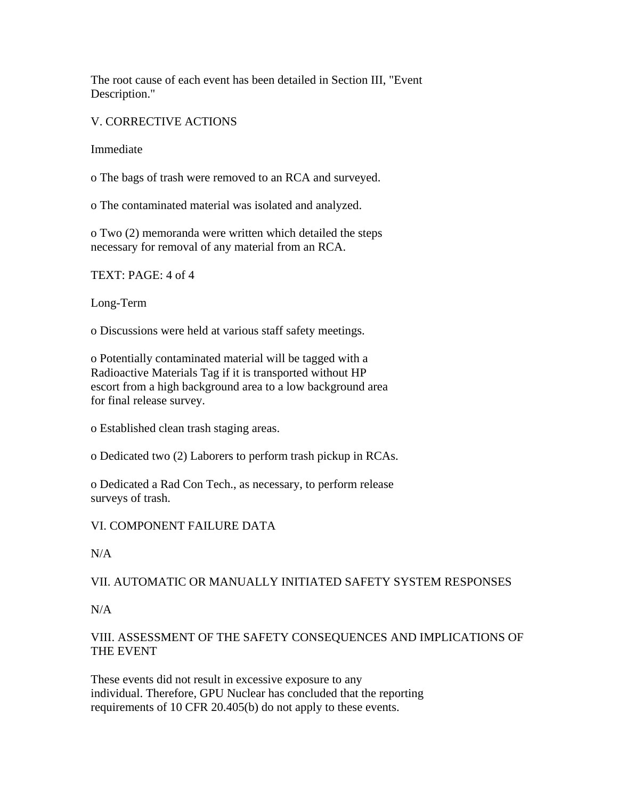The root cause of each event has been detailed in Section III, "Event Description."

V. CORRECTIVE ACTIONS

Immediate

o The bags of trash were removed to an RCA and surveyed.

o The contaminated material was isolated and analyzed.

o Two (2) memoranda were written which detailed the steps necessary for removal of any material from an RCA.

TEXT: PAGE: 4 of 4

Long-Term

o Discussions were held at various staff safety meetings.

o Potentially contaminated material will be tagged with a Radioactive Materials Tag if it is transported without HP escort from a high background area to a low background area for final release survey.

o Established clean trash staging areas.

o Dedicated two (2) Laborers to perform trash pickup in RCAs.

o Dedicated a Rad Con Tech., as necessary, to perform release surveys of trash.

VI. COMPONENT FAILURE DATA

 $N/A$ 

# VII. AUTOMATIC OR MANUALLY INITIATED SAFETY SYSTEM RESPONSES

## N/A

# VIII. ASSESSMENT OF THE SAFETY CONSEQUENCES AND IMPLICATIONS OF THE EVENT

These events did not result in excessive exposure to any individual. Therefore, GPU Nuclear has concluded that the reporting requirements of 10 CFR 20.405(b) do not apply to these events.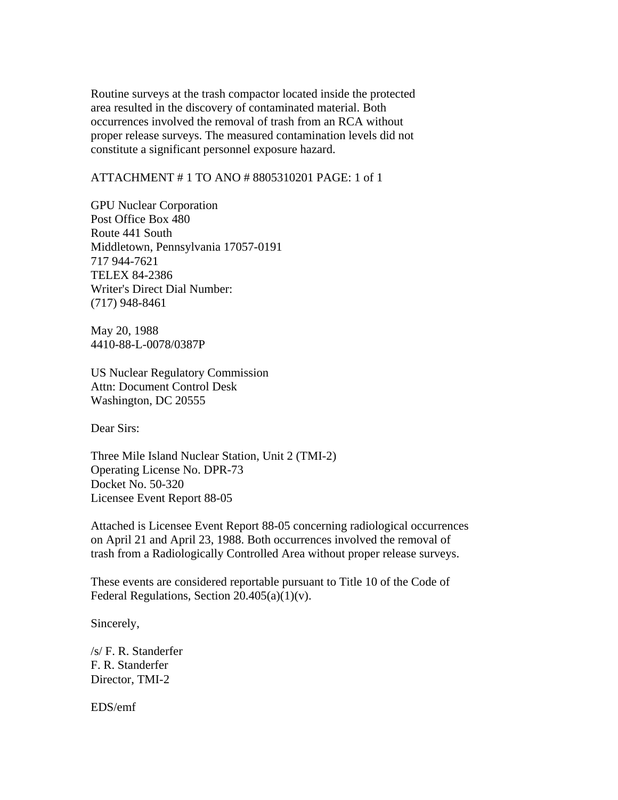Routine surveys at the trash compactor located inside the protected area resulted in the discovery of contaminated material. Both occurrences involved the removal of trash from an RCA without proper release surveys. The measured contamination levels did not constitute a significant personnel exposure hazard.

## ATTACHMENT # 1 TO ANO # 8805310201 PAGE: 1 of 1

GPU Nuclear Corporation Post Office Box 480 Route 441 South Middletown, Pennsylvania 17057-0191 717 944-7621 TELEX 84-2386 Writer's Direct Dial Number: (717) 948-8461

May 20, 1988 4410-88-L-0078/0387P

US Nuclear Regulatory Commission Attn: Document Control Desk Washington, DC 20555

Dear Sirs:

Three Mile Island Nuclear Station, Unit 2 (TMI-2) Operating License No. DPR-73 Docket No. 50-320 Licensee Event Report 88-05

Attached is Licensee Event Report 88-05 concerning radiological occurrences on April 21 and April 23, 1988. Both occurrences involved the removal of trash from a Radiologically Controlled Area without proper release surveys.

These events are considered reportable pursuant to Title 10 of the Code of Federal Regulations, Section  $20.405(a)(1)(v)$ .

Sincerely,

/s/ F. R. Standerfer F. R. Standerfer Director, TMI-2

EDS/emf